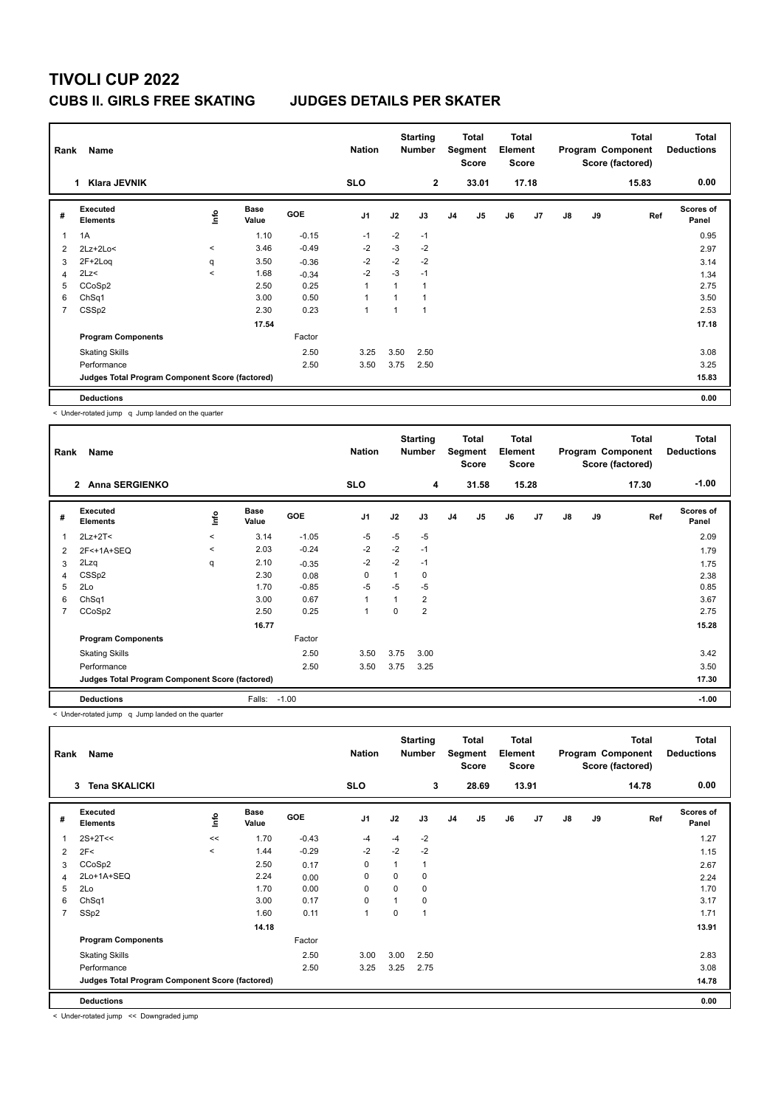## **TIVOLI CUP 2022 CUBS II. GIRLS FREE SKATING JUDGES DETAILS PER SKATER**

| Rank           | Name                                            |         |                      |            |                |      | <b>Starting</b><br><b>Number</b> |                | Total<br>Segment<br><b>Score</b> | Total<br>Element<br><b>Score</b> |                |    |    | <b>Total</b><br>Program Component<br>Score (factored) | <b>Total</b><br><b>Deductions</b> |
|----------------|-------------------------------------------------|---------|----------------------|------------|----------------|------|----------------------------------|----------------|----------------------------------|----------------------------------|----------------|----|----|-------------------------------------------------------|-----------------------------------|
|                | Klara JEVNIK<br>1                               |         |                      |            | <b>SLO</b>     |      | $\mathbf{2}$                     |                | 33.01                            |                                  | 17.18          |    |    | 15.83                                                 | 0.00                              |
| #              | Executed<br><b>Elements</b>                     | ١nto    | <b>Base</b><br>Value | <b>GOE</b> | J <sub>1</sub> | J2   | J3                               | J <sub>4</sub> | J <sub>5</sub>                   | J6                               | J <sub>7</sub> | J8 | J9 | Ref                                                   | Scores of<br>Panel                |
| $\mathbf{1}$   | 1A                                              |         | 1.10                 | $-0.15$    | $-1$           | $-2$ | $-1$                             |                |                                  |                                  |                |    |    |                                                       | 0.95                              |
| 2              | $2Lz+2Lo<$                                      | $\,<\,$ | 3.46                 | $-0.49$    | $-2$           | $-3$ | $-2$                             |                |                                  |                                  |                |    |    |                                                       | 2.97                              |
| 3              | $2F+2Log$                                       | q       | 3.50                 | $-0.36$    | $-2$           | $-2$ | $-2$                             |                |                                  |                                  |                |    |    |                                                       | 3.14                              |
| 4              | 2Lz<                                            | $\prec$ | 1.68                 | $-0.34$    | $-2$           | $-3$ | $-1$                             |                |                                  |                                  |                |    |    |                                                       | 1.34                              |
| 5              | CCoSp2                                          |         | 2.50                 | 0.25       | $\overline{1}$ |      | $\mathbf{1}$                     |                |                                  |                                  |                |    |    |                                                       | 2.75                              |
| 6              | ChSq1                                           |         | 3.00                 | 0.50       | $\overline{1}$ |      | $\mathbf{1}$                     |                |                                  |                                  |                |    |    |                                                       | 3.50                              |
| $\overline{7}$ | CSS <sub>p2</sub>                               |         | 2.30                 | 0.23       | $\overline{1}$ |      | 1                                |                |                                  |                                  |                |    |    |                                                       | 2.53                              |
|                |                                                 |         | 17.54                |            |                |      |                                  |                |                                  |                                  |                |    |    |                                                       | 17.18                             |
|                | <b>Program Components</b>                       |         |                      | Factor     |                |      |                                  |                |                                  |                                  |                |    |    |                                                       |                                   |
|                | <b>Skating Skills</b>                           |         |                      | 2.50       | 3.25           | 3.50 | 2.50                             |                |                                  |                                  |                |    |    |                                                       | 3.08                              |
|                | Performance                                     |         |                      | 2.50       | 3.50           | 3.75 | 2.50                             |                |                                  |                                  |                |    |    |                                                       | 3.25                              |
|                | Judges Total Program Component Score (factored) |         |                      |            |                |      |                                  |                |                                  |                                  |                |    |    |                                                       | 15.83                             |
|                | <b>Deductions</b>                               |         |                      |            |                |      |                                  |                |                                  |                                  |                |    |    |                                                       | 0.00                              |

< Under-rotated jump q Jump landed on the quarter

| Rank | Name                                            |         |                      |            | <b>Nation</b>  |          | <b>Starting</b><br><b>Number</b> |    | Total<br>Segment<br><b>Score</b> | <b>Total</b><br>Element<br><b>Score</b> |       | <b>Total</b><br>Program Component<br>Score (factored) |    | Total<br><b>Deductions</b> |                           |
|------|-------------------------------------------------|---------|----------------------|------------|----------------|----------|----------------------------------|----|----------------------------------|-----------------------------------------|-------|-------------------------------------------------------|----|----------------------------|---------------------------|
|      | 2 Anna SERGIENKO                                |         |                      |            | <b>SLO</b>     |          | $\overline{4}$                   |    | 31.58                            |                                         | 15.28 |                                                       |    | 17.30                      | $-1.00$                   |
| #    | Executed<br><b>Elements</b>                     | lnfo    | <b>Base</b><br>Value | <b>GOE</b> | J <sub>1</sub> | J2       | J3                               | J4 | J5                               | J6                                      | J7    | $\mathsf{J}8$                                         | J9 | Ref                        | <b>Scores of</b><br>Panel |
| 1    | $2Lz+2T2$                                       | $\prec$ | 3.14                 | $-1.05$    | $-5$           | $-5$     | $-5$                             |    |                                  |                                         |       |                                                       |    |                            | 2.09                      |
| 2    | 2F<+1A+SEQ                                      | $\prec$ | 2.03                 | $-0.24$    | $-2$           | $-2$     | $-1$                             |    |                                  |                                         |       |                                                       |    |                            | 1.79                      |
| 3    | 2Lzq                                            | q       | 2.10                 | $-0.35$    | $-2$           | $-2$     | $-1$                             |    |                                  |                                         |       |                                                       |    |                            | 1.75                      |
| 4    | CSSp2                                           |         | 2.30                 | 0.08       | 0              | 1        | 0                                |    |                                  |                                         |       |                                                       |    |                            | 2.38                      |
| 5    | 2Lo                                             |         | 1.70                 | $-0.85$    | $-5$           | $-5$     | $-5$                             |    |                                  |                                         |       |                                                       |    |                            | 0.85                      |
| 6    | Ch <sub>Sq1</sub>                               |         | 3.00                 | 0.67       | $\mathbf{1}$   | 1        | $\overline{2}$                   |    |                                  |                                         |       |                                                       |    |                            | 3.67                      |
| 7    | CCoSp2                                          |         | 2.50                 | 0.25       | $\overline{1}$ | $\Omega$ | $\overline{2}$                   |    |                                  |                                         |       |                                                       |    |                            | 2.75                      |
|      |                                                 |         | 16.77                |            |                |          |                                  |    |                                  |                                         |       |                                                       |    |                            | 15.28                     |
|      | <b>Program Components</b>                       |         |                      | Factor     |                |          |                                  |    |                                  |                                         |       |                                                       |    |                            |                           |
|      | <b>Skating Skills</b>                           |         |                      | 2.50       | 3.50           | 3.75     | 3.00                             |    |                                  |                                         |       |                                                       |    |                            | 3.42                      |
|      | Performance                                     |         |                      | 2.50       | 3.50           | 3.75     | 3.25                             |    |                                  |                                         |       |                                                       |    |                            | 3.50                      |
|      | Judges Total Program Component Score (factored) |         |                      |            |                |          |                                  |    |                                  |                                         |       |                                                       |    |                            | 17.30                     |
|      | <b>Deductions</b>                               |         | Falls:               | $-1.00$    |                |          |                                  |    |                                  |                                         |       |                                                       |    |                            | $-1.00$                   |

< Under-rotated jump q Jump landed on the quarter

| Rank           | Name                                            |          |                      |            | <b>Nation</b>  |          | <b>Starting</b><br><b>Number</b> |                | Total<br>Segment<br><b>Score</b> | <b>Total</b><br>Element<br><b>Score</b> |       | <b>Total</b><br>Program Component<br>Score (factored) |    |       | <b>Total</b><br><b>Deductions</b> |
|----------------|-------------------------------------------------|----------|----------------------|------------|----------------|----------|----------------------------------|----------------|----------------------------------|-----------------------------------------|-------|-------------------------------------------------------|----|-------|-----------------------------------|
|                | <b>Tena SKALICKI</b><br>3                       |          |                      |            | <b>SLO</b>     |          | 3                                |                | 28.69                            |                                         | 13.91 |                                                       |    | 14.78 | 0.00                              |
| #              | Executed<br><b>Elements</b>                     | lnfo     | <b>Base</b><br>Value | <b>GOE</b> | J <sub>1</sub> | J2       | J3                               | J <sub>4</sub> | J5                               | J6                                      | J7    | $\mathsf{J}8$                                         | J9 | Ref   | Scores of<br>Panel                |
|                | $2S+2T<<$                                       | <<       | 1.70                 | $-0.43$    | $-4$           | $-4$     | $-2$                             |                |                                  |                                         |       |                                                       |    |       | 1.27                              |
| 2              | 2F<                                             | $\hat{}$ | 1.44                 | $-0.29$    | $-2$           | $-2$     | $-2$                             |                |                                  |                                         |       |                                                       |    |       | 1.15                              |
| 3              | CCoSp2                                          |          | 2.50                 | 0.17       | $\mathbf 0$    |          | 1                                |                |                                  |                                         |       |                                                       |    |       | 2.67                              |
| $\overline{4}$ | 2Lo+1A+SEQ                                      |          | 2.24                 | 0.00       | 0              | 0        | 0                                |                |                                  |                                         |       |                                                       |    |       | 2.24                              |
| 5              | 2Lo                                             |          | 1.70                 | 0.00       | $\mathbf 0$    | $\Omega$ | 0                                |                |                                  |                                         |       |                                                       |    |       | 1.70                              |
| 6              | ChSq1                                           |          | 3.00                 | 0.17       | 0              |          | 0                                |                |                                  |                                         |       |                                                       |    |       | 3.17                              |
| 7              | SSp2                                            |          | 1.60                 | 0.11       | $\mathbf{1}$   | $\Omega$ | 1                                |                |                                  |                                         |       |                                                       |    |       | 1.71                              |
|                |                                                 |          | 14.18                |            |                |          |                                  |                |                                  |                                         |       |                                                       |    |       | 13.91                             |
|                | <b>Program Components</b>                       |          |                      | Factor     |                |          |                                  |                |                                  |                                         |       |                                                       |    |       |                                   |
|                | <b>Skating Skills</b>                           |          |                      | 2.50       | 3.00           | 3.00     | 2.50                             |                |                                  |                                         |       |                                                       |    |       | 2.83                              |
|                | Performance                                     |          |                      | 2.50       | 3.25           | 3.25     | 2.75                             |                |                                  |                                         |       |                                                       |    |       | 3.08                              |
|                | Judges Total Program Component Score (factored) |          |                      |            |                |          |                                  |                |                                  |                                         |       |                                                       |    |       | 14.78                             |
|                | <b>Deductions</b>                               |          |                      |            |                |          |                                  |                |                                  |                                         |       |                                                       |    |       | 0.00                              |

< Under-rotated jump << Downgraded jump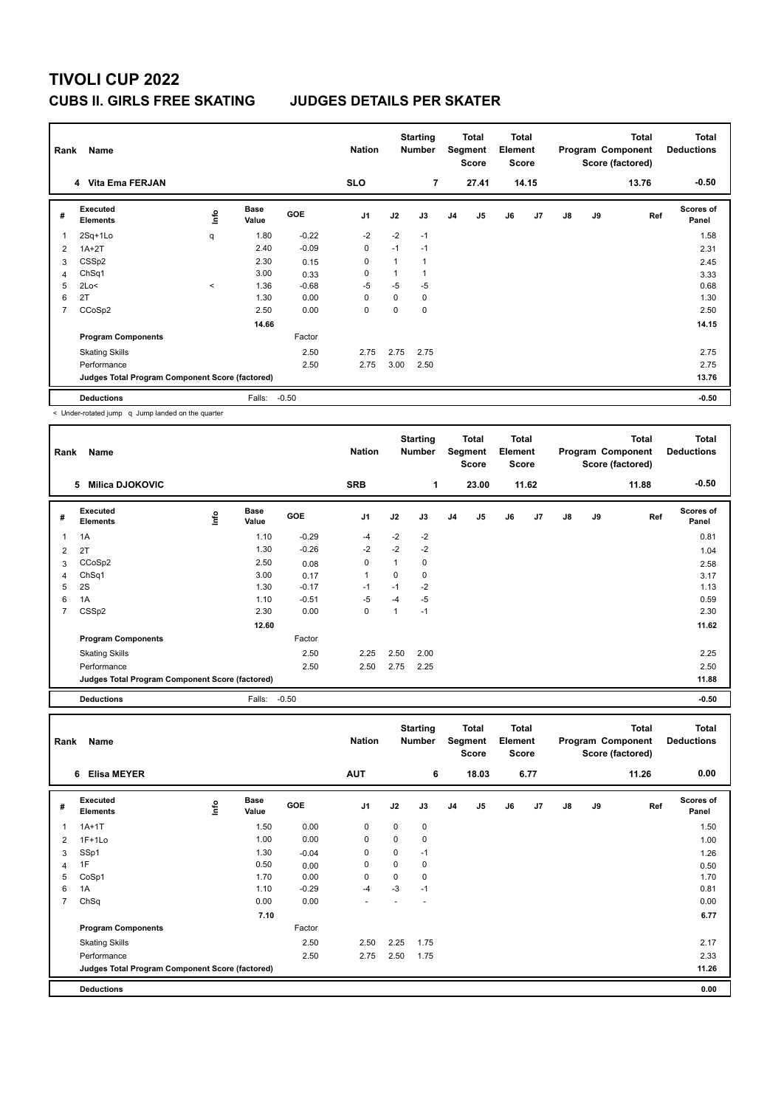# **TIVOLI CUP 2022 CUBS II. GIRLS FREE SKATING JUDGES DETAILS PER SKATER**

| Rank           | Name                                            |         |                      |            | <b>Nation</b>  | <b>Starting</b><br>Total<br>Segment<br><b>Number</b><br><b>Score</b> |                | <b>Total</b><br>Element<br><b>Score</b> |                | <b>Total</b><br>Program Component<br>Score (factored) |       |               | <b>Total</b><br><b>Deductions</b> |       |                           |
|----------------|-------------------------------------------------|---------|----------------------|------------|----------------|----------------------------------------------------------------------|----------------|-----------------------------------------|----------------|-------------------------------------------------------|-------|---------------|-----------------------------------|-------|---------------------------|
|                | 4 Vita Ema FERJAN                               |         |                      |            | <b>SLO</b>     |                                                                      | $\overline{7}$ |                                         | 27.41          |                                                       | 14.15 |               |                                   | 13.76 | $-0.50$                   |
| #              | Executed<br><b>Elements</b>                     | Info    | <b>Base</b><br>Value | <b>GOE</b> | J <sub>1</sub> | J2                                                                   | J3             | J <sub>4</sub>                          | J <sub>5</sub> | J6                                                    | J7    | $\mathsf{J}8$ | J9                                | Ref   | <b>Scores of</b><br>Panel |
| $\overline{1}$ | 2Sq+1Lo                                         | q       | 1.80                 | $-0.22$    | $-2$           | $-2$                                                                 | $-1$           |                                         |                |                                                       |       |               |                                   |       | 1.58                      |
| 2              | $1A+2T$                                         |         | 2.40                 | $-0.09$    | $\mathbf 0$    | $-1$                                                                 | $-1$           |                                         |                |                                                       |       |               |                                   |       | 2.31                      |
| 3              | CSS <sub>p2</sub>                               |         | 2.30                 | 0.15       | $\mathbf 0$    |                                                                      | $\mathbf{1}$   |                                         |                |                                                       |       |               |                                   |       | 2.45                      |
| 4              | ChSq1                                           |         | 3.00                 | 0.33       | $\Omega$       |                                                                      | 1              |                                         |                |                                                       |       |               |                                   |       | 3.33                      |
| 5              | 2Lo<                                            | $\prec$ | 1.36                 | $-0.68$    | $-5$           | $-5$                                                                 | $-5$           |                                         |                |                                                       |       |               |                                   |       | 0.68                      |
| 6              | 2T                                              |         | 1.30                 | 0.00       | 0              | $\mathbf 0$                                                          | 0              |                                         |                |                                                       |       |               |                                   |       | 1.30                      |
| $\overline{7}$ | CCoSp2                                          |         | 2.50                 | 0.00       | 0              | 0                                                                    | $\Omega$       |                                         |                |                                                       |       |               |                                   |       | 2.50                      |
|                |                                                 |         | 14.66                |            |                |                                                                      |                |                                         |                |                                                       |       |               |                                   |       | 14.15                     |
|                | <b>Program Components</b>                       |         |                      | Factor     |                |                                                                      |                |                                         |                |                                                       |       |               |                                   |       |                           |
|                | <b>Skating Skills</b>                           |         |                      | 2.50       | 2.75           | 2.75                                                                 | 2.75           |                                         |                |                                                       |       |               |                                   |       | 2.75                      |
|                | Performance                                     |         |                      | 2.50       | 2.75           | 3.00                                                                 | 2.50           |                                         |                |                                                       |       |               |                                   |       | 2.75                      |
|                | Judges Total Program Component Score (factored) |         |                      |            |                |                                                                      |                |                                         |                |                                                       |       |               |                                   |       | 13.76                     |
|                | <b>Deductions</b>                               |         | Falls:               | $-0.50$    |                |                                                                      |                |                                         |                |                                                       |       |               |                                   |       | $-0.50$                   |

< Under-rotated jump q Jump landed on the quarter

| Rank           | Name                                            |      |                      |         | <b>Nation</b>  |      | <b>Starting</b><br>Number |                | Total<br>Segment<br><b>Score</b> | <b>Total</b><br><b>Element</b><br><b>Score</b> |                |    |    | Total<br>Program Component<br>Score (factored) | <b>Total</b><br><b>Deductions</b> |
|----------------|-------------------------------------------------|------|----------------------|---------|----------------|------|---------------------------|----------------|----------------------------------|------------------------------------------------|----------------|----|----|------------------------------------------------|-----------------------------------|
|                | <b>Milica DJOKOVIC</b><br>5                     |      |                      |         | <b>SRB</b>     |      | 1                         |                | 23.00                            |                                                | 11.62          |    |    | 11.88                                          | $-0.50$                           |
| #              | Executed<br><b>Elements</b>                     | lnfo | <b>Base</b><br>Value | GOE     | J <sub>1</sub> | J2   | J3                        | J <sub>4</sub> | J <sub>5</sub>                   | J6                                             | J <sub>7</sub> | J8 | J9 | Ref                                            | Scores of<br>Panel                |
| 1              | 1A                                              |      | 1.10                 | $-0.29$ | $-4$           | $-2$ | $-2$                      |                |                                  |                                                |                |    |    |                                                | 0.81                              |
| 2              | 2T                                              |      | 1.30                 | $-0.26$ | $-2$           | $-2$ | $-2$                      |                |                                  |                                                |                |    |    |                                                | 1.04                              |
| 3              | CCoSp2                                          |      | 2.50                 | 0.08    | $\mathbf 0$    | 1    | 0                         |                |                                  |                                                |                |    |    |                                                | 2.58                              |
| 4              | ChSq1                                           |      | 3.00                 | 0.17    | $\mathbf{1}$   | 0    | 0                         |                |                                  |                                                |                |    |    |                                                | 3.17                              |
| 5              | 2S                                              |      | 1.30                 | $-0.17$ | $-1$           | $-1$ | $-2$                      |                |                                  |                                                |                |    |    |                                                | 1.13                              |
| 6              | 1A                                              |      | 1.10                 | $-0.51$ | $-5$           | $-4$ | $-5$                      |                |                                  |                                                |                |    |    |                                                | 0.59                              |
| $\overline{7}$ | CSS <sub>p2</sub>                               |      | 2.30                 | 0.00    | 0              | 1    | $-1$                      |                |                                  |                                                |                |    |    |                                                | 2.30                              |
|                |                                                 |      | 12.60                |         |                |      |                           |                |                                  |                                                |                |    |    |                                                | 11.62                             |
|                | <b>Program Components</b>                       |      |                      | Factor  |                |      |                           |                |                                  |                                                |                |    |    |                                                |                                   |
|                | <b>Skating Skills</b>                           |      |                      | 2.50    | 2.25           | 2.50 | 2.00                      |                |                                  |                                                |                |    |    |                                                | 2.25                              |
|                | Performance                                     |      |                      | 2.50    | 2.50           | 2.75 | 2.25                      |                |                                  |                                                |                |    |    |                                                | 2.50                              |
|                | Judges Total Program Component Score (factored) |      |                      |         |                |      |                           |                |                                  |                                                |                |    |    |                                                | 11.88                             |
|                | <b>Deductions</b>                               |      | Falls:               | $-0.50$ |                |      |                           |                |                                  |                                                |                |    |    |                                                | $-0.50$                           |

| Rank           | Name                                            |      |                      |         | <b>Nation</b>  |          | <b>Starting</b><br><b>Number</b> |                | Total<br>Segment<br><b>Score</b> | Total<br>Element<br><b>Score</b> |      | <b>Total</b><br>Program Component<br>Score (factored) |    |       | <b>Total</b><br><b>Deductions</b> |
|----------------|-------------------------------------------------|------|----------------------|---------|----------------|----------|----------------------------------|----------------|----------------------------------|----------------------------------|------|-------------------------------------------------------|----|-------|-----------------------------------|
|                | <b>Elisa MEYER</b><br>6                         |      |                      |         | <b>AUT</b>     |          | 6                                |                | 18.03                            |                                  | 6.77 |                                                       |    | 11.26 | 0.00                              |
| #              | Executed<br><b>Elements</b>                     | ١nf٥ | <b>Base</b><br>Value | GOE     | J <sub>1</sub> | J2       | J3                               | J <sub>4</sub> | J5                               | J6                               | J7   | $\mathsf{J}8$                                         | J9 | Ref   | Scores of<br>Panel                |
| 1              | $1A+1T$                                         |      | 1.50                 | 0.00    | 0              | $\Omega$ | $\mathbf 0$                      |                |                                  |                                  |      |                                                       |    |       | 1.50                              |
| 2              | $1F+1Lo$                                        |      | 1.00                 | 0.00    | 0              | 0        | $\mathbf 0$                      |                |                                  |                                  |      |                                                       |    |       | 1.00                              |
| 3              | SSp1                                            |      | 1.30                 | $-0.04$ | 0              | 0        | $-1$                             |                |                                  |                                  |      |                                                       |    |       | 1.26                              |
| 4              | 1F                                              |      | 0.50                 | 0.00    | 0              | $\Omega$ | $\mathbf 0$                      |                |                                  |                                  |      |                                                       |    |       | 0.50                              |
| 5              | CoSp1                                           |      | 1.70                 | 0.00    | 0              | 0        | $\mathbf 0$                      |                |                                  |                                  |      |                                                       |    |       | 1.70                              |
| 6              | 1A                                              |      | 1.10                 | $-0.29$ | $-4$           | $-3$     | $-1$                             |                |                                  |                                  |      |                                                       |    |       | 0.81                              |
| $\overline{7}$ | ChSq                                            |      | 0.00                 | 0.00    |                |          |                                  |                |                                  |                                  |      |                                                       |    |       | 0.00                              |
|                |                                                 |      | 7.10                 |         |                |          |                                  |                |                                  |                                  |      |                                                       |    |       | 6.77                              |
|                | <b>Program Components</b>                       |      |                      | Factor  |                |          |                                  |                |                                  |                                  |      |                                                       |    |       |                                   |
|                | <b>Skating Skills</b>                           |      |                      | 2.50    | 2.50           | 2.25     | 1.75                             |                |                                  |                                  |      |                                                       |    |       | 2.17                              |
|                | Performance                                     |      |                      | 2.50    | 2.75           | 2.50     | 1.75                             |                |                                  |                                  |      |                                                       |    |       | 2.33                              |
|                | Judges Total Program Component Score (factored) |      |                      |         |                |          |                                  |                |                                  |                                  |      |                                                       |    |       | 11.26                             |
|                | <b>Deductions</b>                               |      |                      |         |                |          |                                  |                |                                  |                                  |      |                                                       |    |       | 0.00                              |